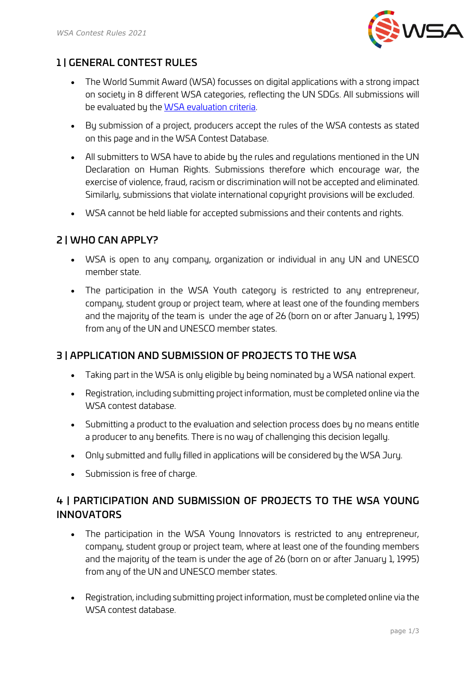

### 1 | GENERAL CONTEST RULES

- The World Summit Award (WSA) focusses on digital applications with a strong impact on society in 8 different WSA categories, reflecting the UN SDGs. All submissions will be evaluated by the [WSA evaluation criteria.](https://www.worldsummitawards.org/contest/jury-process/)
- By submission of a project, producers accept the rules of the WSA contests as stated on this page and in the WSA Contest Database.
- All submitters to WSA have to abide by the rules and regulations mentioned in the UN Declaration on Human Rights. Submissions therefore which encourage war, the exercise of violence, fraud, racism or discrimination will not be accepted and eliminated. Similarly, submissions that violate international copyright provisions will be excluded.
- WSA cannot be held liable for accepted submissions and their contents and rights.

#### 2 | WHO CAN APPLY?

- WSA is open to any company, organization or individual in any UN and UNESCO member state.
- The participation in the WSA Youth category is restricted to any entrepreneur, company, student group or project team, where at least one of the founding members and the majority of the team is under the age of 26 (born on or after January 1, 1995) from any of the UN and UNESCO member states.

#### 3 | APPLICATION AND SUBMISSION OF PROJECTS TO THE WSA

- Taking part in the WSA is only eligible by being nominated by a WSA national expert.
- Registration, including submitting project information, must be completed online via the WSA contest database.
- Submitting a product to the evaluation and selection process does by no means entitle a producer to any benefits. There is no way of challenging this decision legally.
- Only submitted and fully filled in applications will be considered by the WSA Jury.
- Submission is free of charge.

# 4 | PARTICIPATION AND SUBMISSION OF PROJECTS TO THE WSA YOUNG **INNOVATORS**

- The participation in the WSA Young Innovators is restricted to any entrepreneur, company, student group or project team, where at least one of the founding members and the majority of the team is under the age of 26 (born on or after January 1, 1995) from any of the UN and UNESCO member states.
- Registration, including submitting project information, must be completed online via the WSA contest database.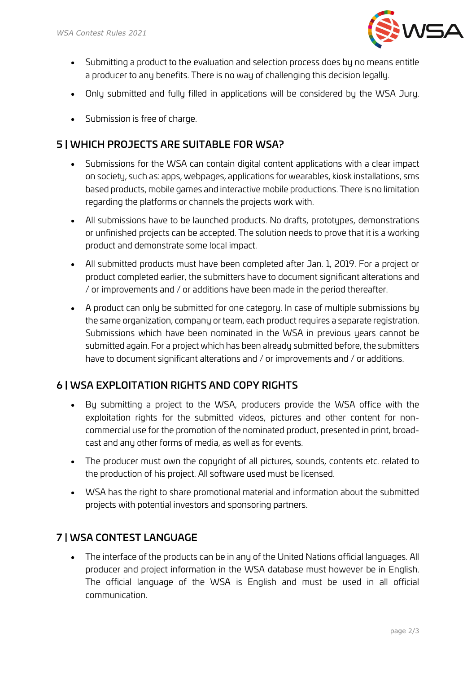

- Submitting a product to the evaluation and selection process does by no means entitle a producer to any benefits. There is no way of challenging this decision legally.
- Only submitted and fully filled in applications will be considered by the WSA Jury.
- Submission is free of charge.

#### 5 | WHICH PROJECTS ARE SUITABLE FOR WSA?

- Submissions for the WSA can contain digital content applications with a clear impact on society, such as: apps, webpages, applications for wearables, kiosk installations, sms based products, mobile games and interactive mobile productions. There is no limitation regarding the platforms or channels the projects work with.
- All submissions have to be launched products. No drafts, prototypes, demonstrations or unfinished projects can be accepted. The solution needs to prove that it is a working product and demonstrate some local impact.
- All submitted products must have been completed after Jan. 1, 2019. For a project or product completed earlier, the submitters have to document significant alterations and / or improvements and / or additions have been made in the period thereafter.
- A product can only be submitted for one category. In case of multiple submissions by the same organization, company or team, each product requires a separate registration. Submissions which have been nominated in the WSA in previous years cannot be submitted again. For a project which has been already submitted before, the submitters have to document significant alterations and / or improvements and / or additions.

#### 6 | WSA EXPLOITATION RIGHTS AND COPY RIGHTS

- By submitting a project to the WSA, producers provide the WSA office with the exploitation rights for the submitted videos, pictures and other content for noncommercial use for the promotion of the nominated product, presented in print, broadcast and any other forms of media, as well as for events.
- The producer must own the copyright of all pictures, sounds, contents etc. related to the production of his project. All software used must be licensed.
- WSA has the right to share promotional material and information about the submitted projects with potential investors and sponsoring partners.

#### 7 | WSA CONTEST LANGUAGE

• The interface of the products can be in any of the United Nations official languages. All producer and project information in the WSA database must however be in English. The official language of the WSA is English and must be used in all official communication.